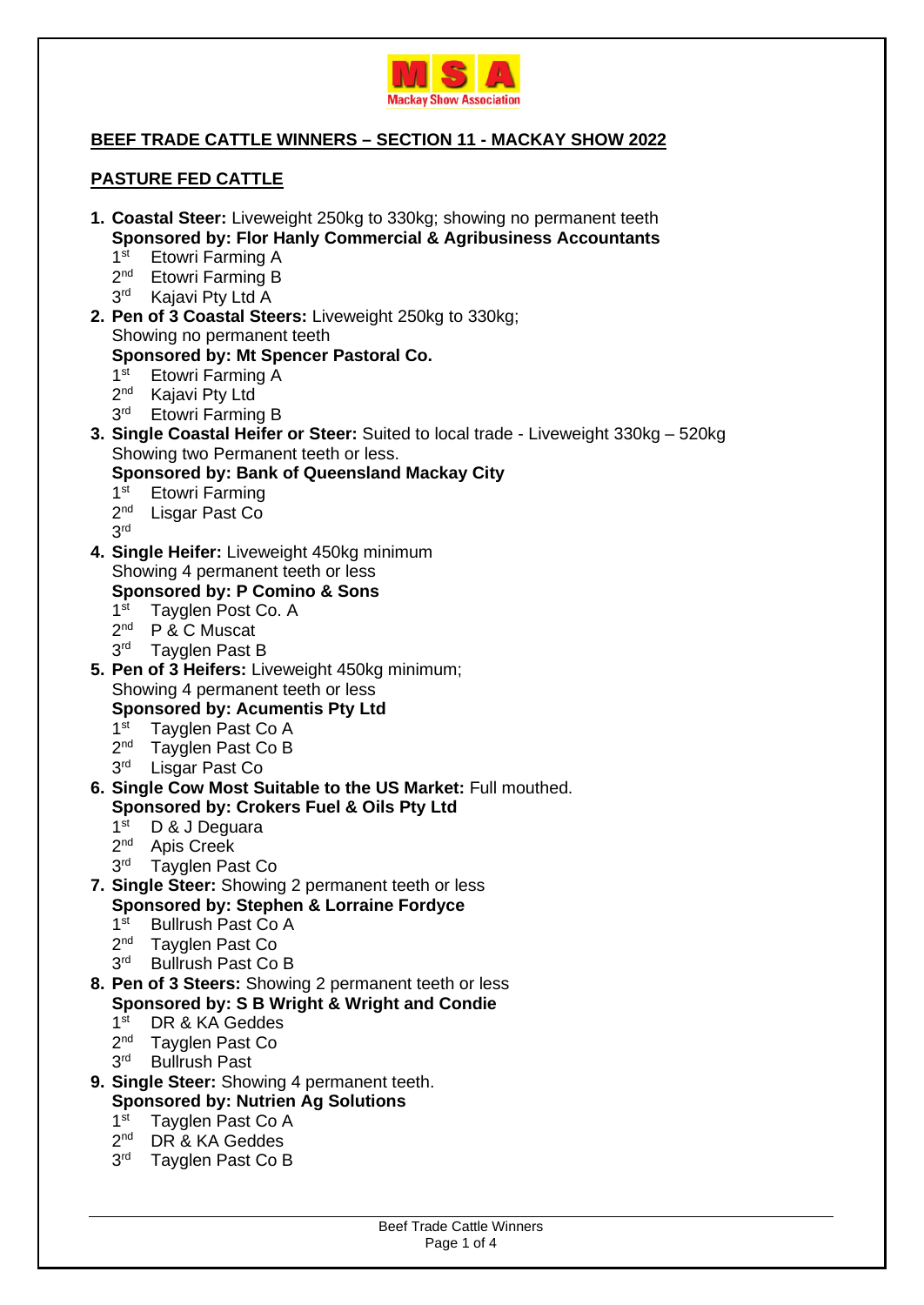

## **BEEF TRADE CATTLE WINNERS – SECTION 11 - MACKAY SHOW 2022**

### **PASTURE FED CATTLE**

- **1. Coastal Steer:** Liveweight 250kg to 330kg; showing no permanent teeth **Sponsored by: Flor Hanly Commercial & Agribusiness Accountants**   $1<sup>st</sup>$ Etowri Farming A 2<sup>nd</sup> Etowri Farming B 3<sup>rd</sup> Kajavi Pty Ltd A **2. Pen of 3 Coastal Steers:** Liveweight 250kg to 330kg; Showing no permanent teeth **Sponsored by: Mt Spencer Pastoral Co.**   $1<sup>st</sup>$ Etowri Farming A  $2<sup>nd</sup>$ Kajavi Pty Ltd 3<sup>rd</sup> Etowri Farming B **3. Single Coastal Heifer or Steer:** Suited to local trade - Liveweight 330kg – 520kg Showing two Permanent teeth or less. **Sponsored by: Bank of Queensland Mackay City**   $1<sup>st</sup>$ **Etowri Farming** 2<sup>nd</sup> Lisgar Past Co 3 rd **4. Single Heifer:** Liveweight 450kg minimum Showing 4 permanent teeth or less **Sponsored by: P Comino & Sons**  1<sup>st</sup> Tayglen Post Co. A 2<sup>nd</sup> P & C Muscat 3<sup>rd</sup> Tayglen Past B **5. Pen of 3 Heifers:** Liveweight 450kg minimum; Showing 4 permanent teeth or less **Sponsored by: Acumentis Pty Ltd**   $1<sup>st</sup>$ Tayglen Past Co A 2<sup>nd</sup> Tayglen Past Co B 3<sup>rd</sup> Lisgar Past Co **6. Single Cow Most Suitable to the US Market:** Full mouthed. **Sponsored by: Crokers Fuel & Oils Pty Ltd**   $1<sup>st</sup>$ D & J Dequara  $2<sup>nd</sup>$ Apis Creek  $3<sup>rd</sup>$ Tayglen Past Co **7. Single Steer:** Showing 2 permanent teeth or less **Sponsored by: Stephen & Lorraine Fordyce**  1<sup>st</sup> Bullrush Past Co A 2<sup>nd</sup> Tayglen Past Co 3<sup>rd</sup> Bullrush Past Co B **8. Pen of 3 Steers:** Showing 2 permanent teeth or less **Sponsored by: S B Wright & Wright and Condie** 
	- $1<sup>st</sup>$ DR & KA Geddes
	- $2<sup>nd</sup>$ Tayglen Past Co
	- 3<sup>rd</sup> Bullrush Past
	- **9. Single Steer:** Showing 4 permanent teeth. **Sponsored by: Nutrien Ag Solutions** 
		- $1<sup>st</sup>$ Tayglen Past Co A
		- $2<sup>nd</sup>$ DR & KA Geddes
		-
		- 3<sup>rd</sup> Tayglen Past Co B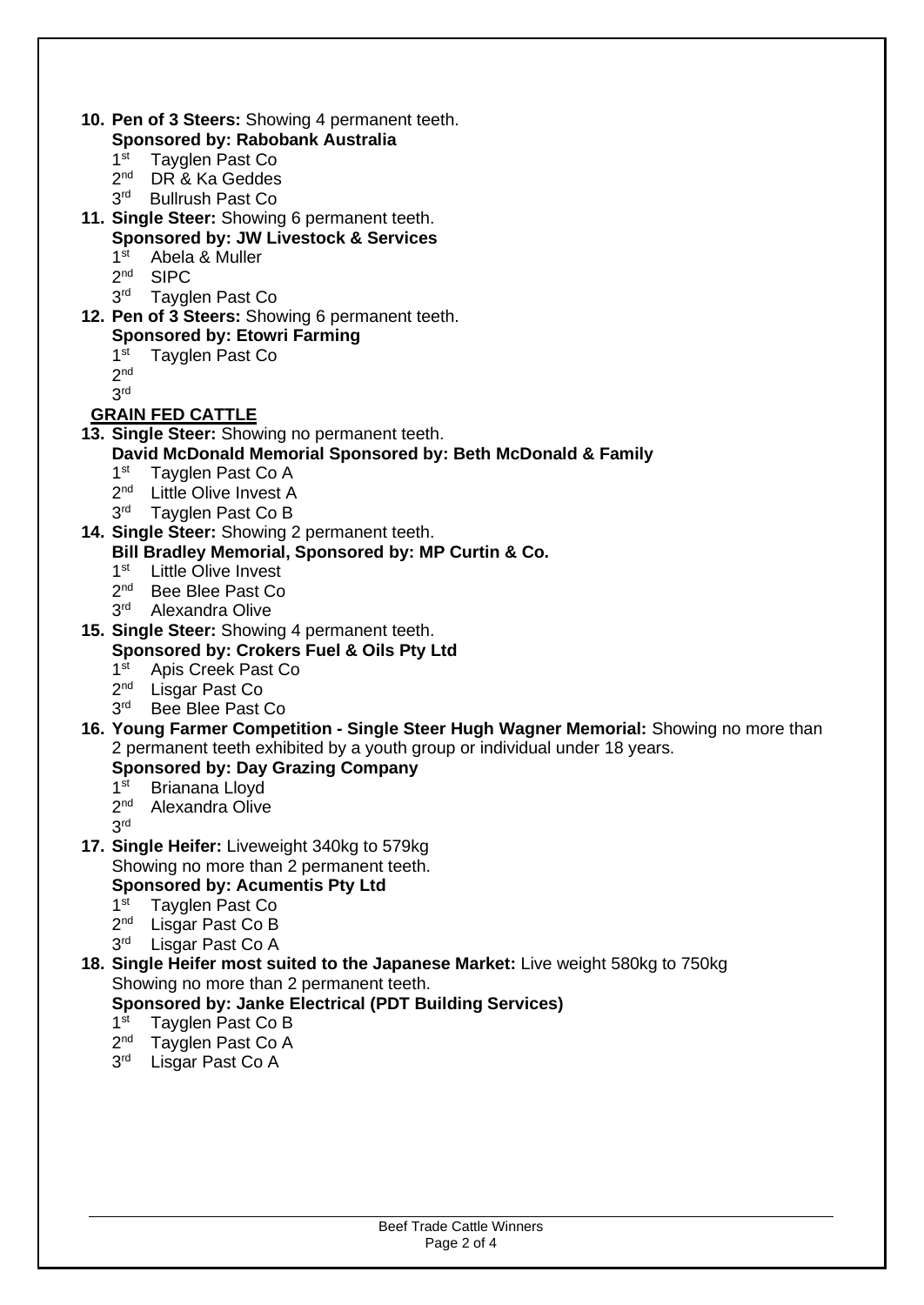- **10. Pen of 3 Steers:** Showing 4 permanent teeth. **Sponsored by: Rabobank Australia** 
	- $1<sup>st</sup>$ Tayglen Past Co
	- 2<sup>nd</sup> DR & Ka Geddes
	- 3<sup>rd</sup> Bullrush Past Co
- **11. Single Steer:** Showing 6 permanent teeth.
	- **Sponsored by: JW Livestock & Services**
	- $1<sup>st</sup>$ Abela & Muller
	- $2<sub>nd</sub>$ **SIPC**
	- $3<sup>rd</sup>$ Tayglen Past Co
- **12. Pen of 3 Steers:** Showing 6 permanent teeth.
	- **Sponsored by: Etowri Farming**
	- $1<sup>st</sup>$ Tayglen Past Co
	- $2<sup>nd</sup>$
	- 3 rd

# **GRAIN FED CATTLE**

- **13. Single Steer:** Showing no permanent teeth.
	- **David McDonald Memorial Sponsored by: Beth McDonald & Family** 
		- $1<sup>st</sup>$ Tayglen Past Co A
		- 2<sup>nd</sup> Little Olive Invest A
		- 3<sup>rd</sup> Tayglen Past Co B
- **14. Single Steer:** Showing 2 permanent teeth. **Bill Bradley Memorial, Sponsored by: MP Curtin & Co.** 
	- $1<sup>st</sup>$ **Little Olive Invest**
	- 2<sup>nd</sup> Bee Blee Past Co
	- $3<sup>rd</sup>$ Alexandra Olive
- **15. Single Steer:** Showing 4 permanent teeth.

# **Sponsored by: Crokers Fuel & Oils Pty Ltd**

- $1<sup>st</sup>$ Apis Creek Past Co
- $2<sup>nd</sup>$ Lisgar Past Co
- $3<sup>rd</sup>$ Bee Blee Past Co
- **16. Young Farmer Competition Single Steer Hugh Wagner Memorial:** Showing no more than 2 permanent teeth exhibited by a youth group or individual under 18 years.

## **Sponsored by: Day Grazing Company**

- $1<sup>st</sup>$ Brianana Lloyd
- 2<sup>nd</sup> Alexandra Olive
- 3 rd
- **17. Single Heifer:** Liveweight 340kg to 579kg Showing no more than 2 permanent teeth. **Sponsored by: Acumentis Pty Ltd** 
	- 1 $\mathrm{st}$ Tayglen Past Co
	- 2<sup>nd</sup> Lisgar Past Co B
	- 3<sup>rd</sup> Lisgar Past Co A
- **18. Single Heifer most suited to the Japanese Market:** Live weight 580kg to 750kg Showing no more than 2 permanent teeth.
	- **Sponsored by: Janke Electrical (PDT Building Services)**
	- $1<sup>st</sup>$ Tayglen Past Co B
	- $2<sup>nd</sup>$ Tayglen Past Co A
	- 3<sup>rd</sup> Lisgar Past Co A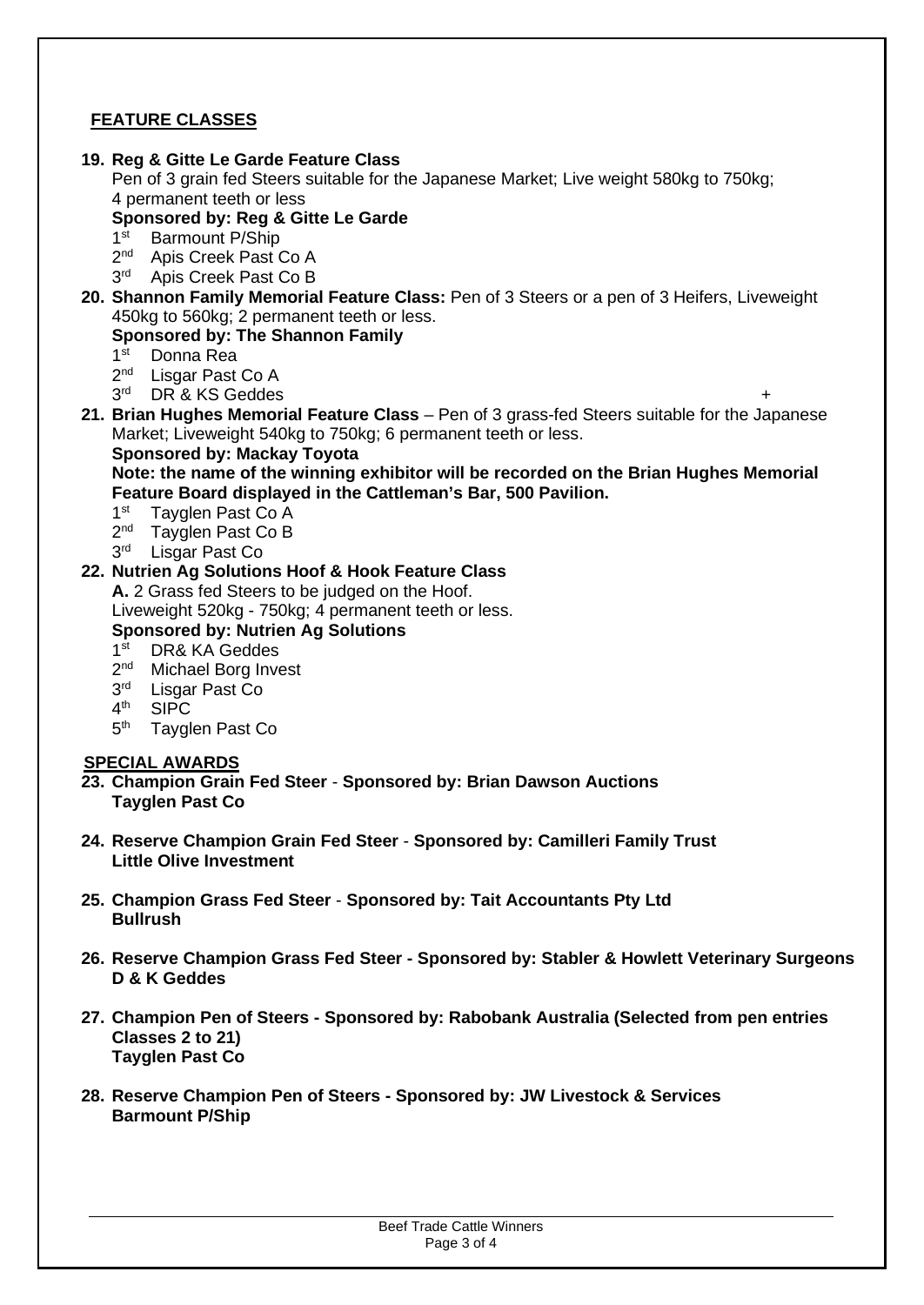## **FEATURE CLASSES**

#### **19. Reg & Gitte Le Garde Feature Class**

Pen of 3 grain fed Steers suitable for the Japanese Market; Live weight 580kg to 750kg; 4 permanent teeth or less

#### **Sponsored by: Reg & Gitte Le Garde**

- $1<sup>st</sup>$ Barmount P/Ship
- $2<sup>nd</sup>$ Apis Creek Past Co A
- 3<sup>rd</sup> Apis Creek Past Co B
- **20. Shannon Family Memorial Feature Class:** Pen of 3 Steers or a pen of 3 Heifers, Liveweight 450kg to 560kg; 2 permanent teeth or less.

#### **Sponsored by: The Shannon Family**

- $1<sup>st</sup>$ Donna Rea
- $2<sup>nd</sup>$ Lisgar Past Co A
- $3<sup>rd</sup>$ DR & KS Geddes
- **21. Brian Hughes Memorial Feature Class** Pen of 3 grass-fed Steers suitable for the Japanese Market; Liveweight 540kg to 750kg; 6 permanent teeth or less.

#### **Sponsored by: Mackay Toyota**

**Note: the name of the winning exhibitor will be recorded on the Brian Hughes Memorial Feature Board displayed in the Cattleman's Bar, 500 Pavilion.** 

- $1<sup>st</sup>$ Tayglen Past Co A
- $2<sup>nd</sup>$ Tayglen Past Co B
- 3<sup>rd</sup> Lisgar Past Co

### **22. Nutrien Ag Solutions Hoof & Hook Feature Class**

**A.** 2 Grass fed Steers to be judged on the Hoof. Liveweight 520kg - 750kg; 4 permanent teeth or less.

### **Sponsored by: Nutrien Ag Solutions**

- $1<sup>st</sup>$ DR& KA Geddes
- 2<sup>nd</sup> Michael Borg Invest
- $3<sup>rd</sup>$ Lisgar Past Co
- $4<sup>th</sup>$ **SIPC**
- 5<sup>th</sup> Tayglen Past Co

#### **SPECIAL AWARDS**

- **23. Champion Grain Fed Steer Sponsored by: Brian Dawson Auctions Tayglen Past Co**
- **24. Reserve Champion Grain Fed Steer Sponsored by: Camilleri Family Trust Little Olive Investment**
- **25. Champion Grass Fed Steer Sponsored by: Tait Accountants Pty Ltd Bullrush**
- **26. Reserve Champion Grass Fed Steer Sponsored by: Stabler & Howlett Veterinary Surgeons D & K Geddes**
- **27. Champion Pen of Steers - Sponsored by: Rabobank Australia (Selected from pen entries Classes 2 to 21) Tayglen Past Co**
- **28. Reserve Champion Pen of Steers - Sponsored by: JW Livestock & Services Barmount P/Ship**